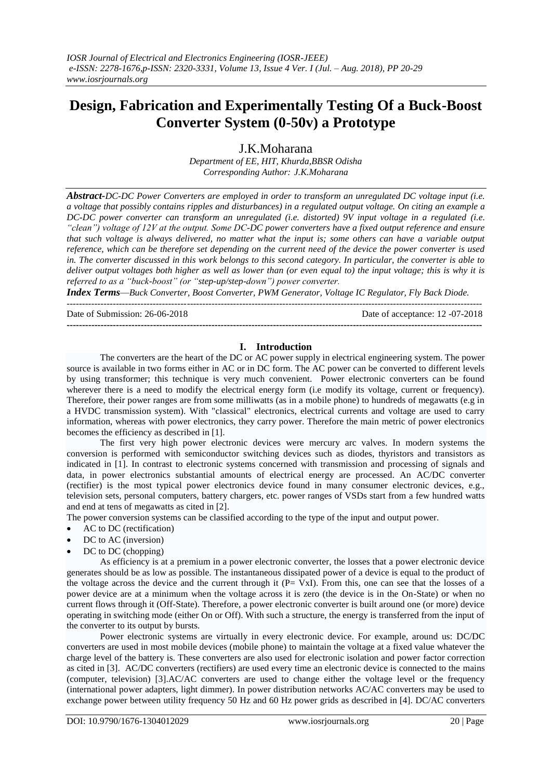# **Design, Fabrication and Experimentally Testing Of a Buck-Boost Converter System (0-50v) a Prototype**

J.K.Moharana *Department of EE, HIT, Khurda,BBSR Odisha Corresponding Author: J.K.Moharana*

*Abstract-DC-DC Power Converters are employed in order to transform an unregulated DC voltage input (i.e. a voltage that possibly contains ripples and disturbances) in a regulated output voltage. On citing an example a DC-DC power converter can transform an unregulated (i.e. distorted) 9V input voltage in a regulated (i.e. ―clean‖) voltage of 12V at the output. Some DC-DC power converters have a fixed output reference and ensure that such voltage is always delivered, no matter what the input is; some others can have a variable output reference, which can be therefore set depending on the current need of the device the power converter is used in. The converter discussed in this work belongs to this second category. In particular, the converter is able to deliver output voltages both higher as well as lower than (or even equal to) the input voltage; this is why it is referred to as a "buck-boost" (or "step-up/step-down") power converter.* 

*Index Terms—Buck Converter, Boost Converter, PWM Generator, Voltage IC Regulator, Fly Back Diode.* ---------------------------------------------------------------------------------------------------------------------------------------

Date of Submission: 26-06-2018 Date of acceptance: 12 -07-2018

**---------------------------------------------------------------------------------------------------------------------------------------**

#### **I. Introduction**

The converters are the heart of the DC or AC power supply in electrical engineering system. The power source is available in two forms either in AC or in DC form. The AC power can be converted to different levels by using transformer; this technique is very much convenient. Power electronic converters can be found wherever there is a need to modify the electrical energy form (i.e modify its voltage, current or frequency). Therefore, their power ranges are from some milliwatts (as in a mobile phone) to hundreds of megawatts (e.g in a [HVDC](http://en.wikipedia.org/wiki/HVDC) transmission system). With "classical" electronics, electrical currents and voltage are used to carry information, whereas with power electronics, they carry power. Therefore the main metric of power electronics becomes the efficiency as described in [1].

The first very high power electronic devices were [mercury arc valves.](http://en.wikipedia.org/wiki/Mercury_arc_valve) In modern systems the conversion is performed with [semiconductor](http://en.wikipedia.org/wiki/Semiconductor) switching devices such as [diodes,](http://en.wikipedia.org/wiki/Diodes) [thyristors](http://en.wikipedia.org/wiki/Thyristors) and [transistors](http://en.wikipedia.org/wiki/Transistors) as indicated in [1]. In contrast to electronic systems concerned with transmission and processing of signals and data, in power electronics substantial amounts of electrical energy are processed. An [AC/DC](http://en.wikipedia.org/wiki/AC/DC) converter [\(rectifier\)](http://en.wikipedia.org/wiki/Rectifier) is the most typical power electronics device found in many consumer electronic devices, e.g., [television](http://en.wikipedia.org/wiki/Television) sets, personal [computers,](http://en.wikipedia.org/wiki/Computer) [battery chargers,](http://en.wikipedia.org/wiki/Battery_charger) etc. power ranges of VSDs start from a few hundred watts and end at tens of [megawatts](http://en.wikipedia.org/wiki/Megawatt) as cited in [2].

The power conversion systems can be classified according to the type of the input and output power.

- [AC](http://en.wikipedia.org/wiki/Alternating_current) t[o DC](http://en.wikipedia.org/wiki/Direct_current) [\(rectification\)](http://en.wikipedia.org/wiki/Rectifier)
- [DC](http://en.wikipedia.org/wiki/Direct_current) t[o AC](http://en.wikipedia.org/wiki/Alternating_current) [\(inversion\)](http://en.wikipedia.org/wiki/Inverter_(electrical))
- [DC](http://en.wikipedia.org/wiki/Direct_current) t[o DC](http://en.wikipedia.org/wiki/Direct_current) [\(chopping\)](http://en.wikipedia.org/wiki/DC_to_DC_converter)

As efficiency is at a premium in a power electronic converter, the losses that a power electronic device generates should be as low as possible. The instantaneous dissipated power of a device is equal to the product of the voltage across the device and the current through it  $(P = \overline{V}xI)$ . From this, one can see that the losses of a power device are at a minimum when the voltage across it is zero (the device is in the On-State) or when no current flows through it (Off-State). Therefore, a power electronic converter is built around one (or more) device operating in switching mode (either On or Off). With such a structure, the energy is transferred from the input of the converter to its output by bursts.

Power electronic systems are virtually in every electronic device. For example, around us: DC/DC converters are used in most mobile devices (mobile phone) to maintain the voltage at a fixed value whatever the charge level of the battery is. These converters are also used for electronic isolation and power factor correction as cited in [3]. AC/DC converters (rectifiers) are used every time an electronic device is connected to the mains (computer, television) [3].AC/AC converters are used to change either the voltage level or the frequency (international power adapters, light dimmer). In power distribution networks AC/AC converters may be used to exchange power between [utility frequency](http://en.wikipedia.org/wiki/Utility_frequency) 50 Hz and 60 Hz power grids as described in [4]. DC/AC converters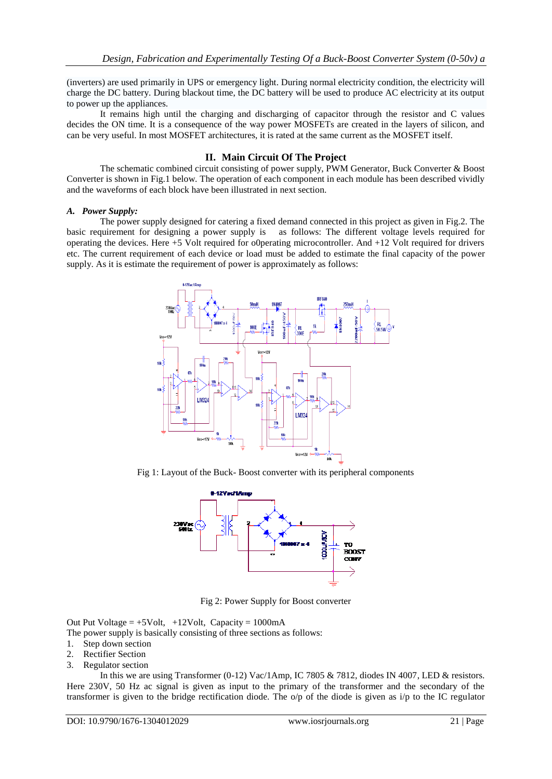(inverters) are used primarily in [UPS](http://en.wikipedia.org/wiki/Uninterruptible_Power_Supply) o[r emergency light.](http://en.wikipedia.org/wiki/Emergency_light) During normal electricity condition, the electricity will charge the DC battery. During blackout time, the DC battery will be used to produce AC electricity at its output to power up the appliances.

It remains high until the charging and discharging of capacitor through the resistor and C values decides the ON time. It is a consequence of the way power MOSFETs are created in the layers of silicon, and can be very useful. In most MOSFET architectures, it is rated at the same current as the MOSFET itself.

### **II. Main Circuit Of The Project**

The schematic combined circuit consisting of power supply, PWM Generator, Buck Converter & Boost Converter is shown in Fig.1 below. The operation of each component in each module has been described vividly and the waveforms of each block have been illustrated in next section.

#### *A. Power Supply:*

The power supply designed for catering a fixed demand connected in this project as given in Fig.2. The basic requirement for designing a power supply is as follows: The different voltage levels required for operating the devices. Here +5 Volt required for o0perating microcontroller. And +12 Volt required for drivers etc. The current requirement of each device or load must be added to estimate the final capacity of the power supply. As it is estimate the requirement of power is approximately as follows:



Fig 1: Layout of the Buck- Boost converter with its peripheral components



Fig 2: Power Supply for Boost converter

Out Put Voltage  $= +5$ Volt,  $+12$ Volt, Capacity  $= 1000$ mA

- The power supply is basically consisting of three sections as follows:
- 1. Step down section
- 2. Rectifier Section
- 3. Regulator section

In this we are using Transformer (0-12) Vac/1Amp, IC 7805 & 7812, diodes IN 4007, LED & resistors. Here 230V, 50 Hz ac signal is given as input to the primary of the transformer and the secondary of the transformer is given to the bridge rectification diode. The o/p of the diode is given as i/p to the IC regulator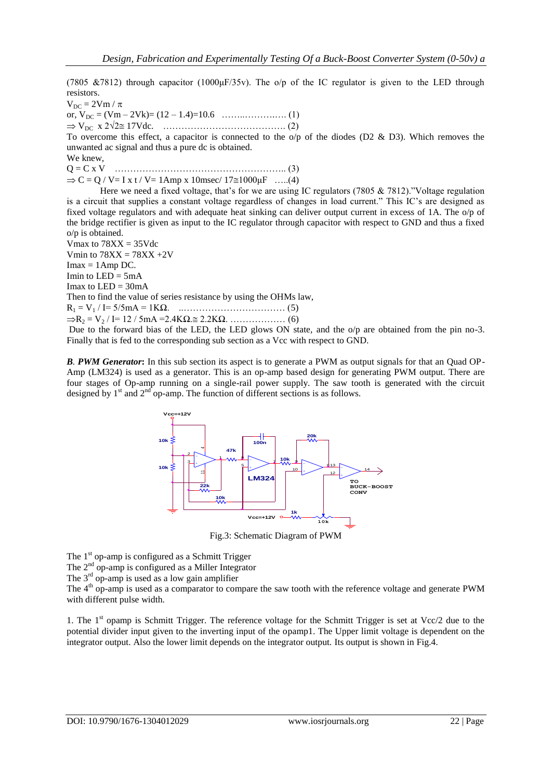(7805 &7812) through capacitor (1000 $\mu$ F/35v). The o/p of the IC regulator is given to the LED through resistors.

 $V_{DC} = 2Vm / \pi$ or, VDC = (Vm – 2Vk)= (12 – 1.4)=10.6 ……..……….…. (1) VDC x 2√2 17Vdc. …………………………………. (2)

To overcome this effect, a capacitor is connected to the  $o/p$  of the diodes (D2 & D3). Which removes the unwanted ac signal and thus a pure dc is obtained.

We knew,

Q = C x V ……………………………………………….. (3)

 $\Rightarrow$  C = Q / V= I x t / V= 1Amp x 10msec/ 17 $\approx$ 1000 $\mu$ F …..(4)

Here we need a fixed voltage, that's for we are using IC regulators (7805 & 7812)."Voltage regulation is a circuit that supplies a constant voltage regardless of changes in load current." This IC's are designed as fixed voltage regulators and with adequate heat sinking can deliver output current in excess of 1A. The o/p of the bridge rectifier is given as input to the IC regulator through capacitor with respect to GND and thus a fixed o/p is obtained.

Vmax to  $78XX = 35V$ dc Vmin to  $78XX = 78XX + 2V$  $Imax = 1Amp DC$ .

Imin to  $LED = 5mA$ 

Imax to  $LED = 30mA$ 

Then to find the value of series resistance by using the OHMs law,

R<sup>1</sup> = V<sup>1</sup> / I= 5/5mA = 1KΩ. ..…………………………… (5)

R<sup>2</sup> = V<sup>2</sup> / I= 12 / 5mA =2.4KΩ. 2.2KΩ. ……………… (6)

Due to the forward bias of the LED, the LED glows ON state, and the  $o/p$  are obtained from the pin no-3. Finally that is fed to the corresponding sub section as a Vcc with respect to GND.

*B. PWM Generator***:** In this sub section its aspect is to generate a PWM as output signals for that an Quad OP-Amp (LM324) is used as a generator. This is an op-amp based design for generating PWM output. There are four stages of Op-amp running on a single-rail power supply. The saw tooth is generated with the circuit designed by  $1<sup>st</sup>$  and  $2<sup>nd</sup>$  op-amp. The function of different sections is as follows.



Fig.3: Schematic Diagram of PWM

The  $1<sup>st</sup>$  op-amp is configured as a Schmitt Trigger

The 2<sup>nd</sup> op-amp is configured as a Miller Integrator

The 3<sup>rd</sup> op-amp is used as a low gain amplifier

The 4<sup>th</sup> op-amp is used as a comparator to compare the saw tooth with the reference voltage and generate PWM with different pulse width.

1. The 1<sup>st</sup> opamp is Schmitt Trigger. The reference voltage for the Schmitt Trigger is set at Vcc/2 due to the potential divider input given to the inverting input of the opamp1. The Upper limit voltage is dependent on the integrator output. Also the lower limit depends on the integrator output. Its output is shown in Fig.4.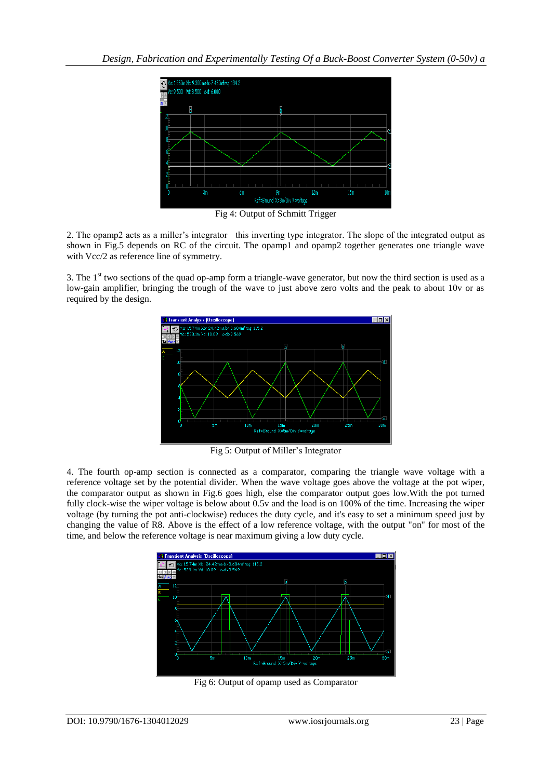

Fig 4: Output of Schmitt Trigger

2. The opamp2 acts as a miller's integrator this inverting type integrator. The slope of the integrated output as shown in Fig.5 depends on RC of the circuit. The opamp1 and opamp2 together generates one triangle wave with Vcc/2 as reference line of symmetry.

3. The  $1<sup>st</sup>$  two sections of the quad op-amp form a triangle-wave generator, but now the third section is used as a low-gain amplifier, bringing the trough of the wave to just above zero volts and the peak to about 10v or as required by the design.



Fig 5: Output of Miller's Integrator

4. The fourth op-amp section is connected as a comparator, comparing the triangle wave voltage with a reference voltage set by the potential divider. When the wave voltage goes above the voltage at the pot wiper, the comparator output as shown in Fig.6 goes high, else the comparator output goes low.With the pot turned fully clock-wise the wiper voltage is below about 0.5v and the load is on 100% of the time. Increasing the wiper voltage (by turning the pot anti-clockwise) reduces the duty cycle, and it's easy to set a minimum speed just by changing the value of R8. Above is the effect of a low reference voltage, with the output "on" for most of the time, and below the reference voltage is near maximum giving a low duty cycle.



Fig 6: Output of opamp used as Comparator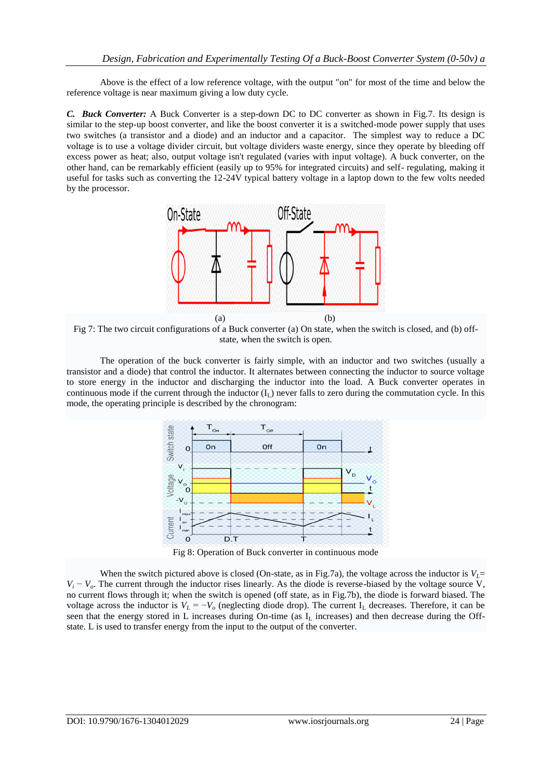Above is the effect of a low reference voltage, with the output "on" for most of the time and below the reference voltage is near maximum giving a low duty cycle.

*C. Buck Converter:* A Buck Converter is a [step-down](file:///H:\w\index.php%3ftitle=Step-down&action=edit&redlink=1) [DC to DC converter](file:///H:\wiki\DC_to_DC_converter) as shown in Fig.7. Its design is similar to the step-up [boost converter,](file:///H:\wiki\Boost_converter) and like the boost converter it is a [switched-mode power supply](file:///H:\wiki\Switched-mode_power_supply) that uses two switches (a transistor and a diode) and an inductor and a capacitor. The simplest way to reduce a DC voltage is to use a [voltage divider](file:///H:\wiki\Voltage_divider) circuit, but voltage dividers waste energy, since they operate by bleeding off excess power as heat; also, output voltage isn't regulated (varies with input voltage). A buck converter, on the other hand, can be remarkably efficient (easily up to 95% for integrated circuits) and self- regulating, making it useful for tasks such as converting the 12-24V typical battery voltage in a laptop down to the few volts needed by the processor.



Fig 7: The two circuit configurations of a Buck converter (a) On state, when the switch is closed, and (b) offstate, when the switch is open.

The operation of the buck converter is fairly simple, with an [inductor](file:///H:\wiki\Inductor) and two switches (usually a [transistor](file:///H:\wiki\Transistor) and a [diode\)](file:///H:\wiki\Diode) that control the inductor. It alternates between connecting the inductor to source voltage to store energy in the inductor and discharging the inductor into the load. A Buck converter operates in continuous mode if the current through the inductor  $(I_L)$  never falls to zero during the commutation cycle. In this mode, the operating principle is described by the chronogram:



Fig 8: Operation of Buck converter in continuous mode

When the switch pictured above is closed (On-state, as in Fig.7a), the voltage across the inductor is  $V<sub>l</sub>$ =  $V_i - V_o$ . The current through the inductor rises linearly. As the diode is reverse-biased by the voltage source V, no current flows through it; when the switch is opened (off state, as in Fig.7b), the diode is forward biased. The voltage across the inductor is  $V_L = -V_o$  (neglecting diode drop). The current  $I_L$  decreases. Therefore, it can be seen that the energy stored in L increases during On-time (as I<sup>L</sup> increases) and then decrease during the Offstate. L is used to transfer energy from the input to the output of the converter.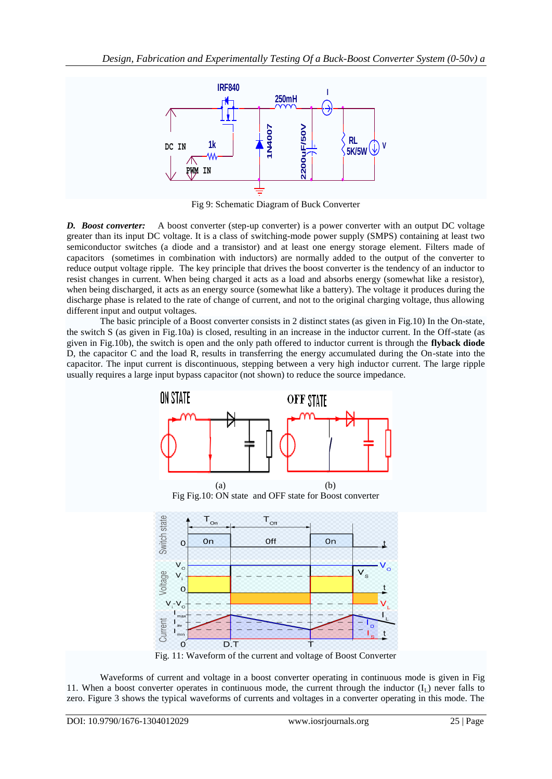

Fig 9: Schematic Diagram of Buck Converter

*D. Boost converter:* A boost converter (step-up converter) is a [power converter](file:///H:\wiki\Power_converter) with an output DC voltage greater than its input DC voltage. It is a class of [switching-mode power supply \(SMPS\)](file:///H:\wiki\Switched-mode_power_supply) containing at least two [semiconductor](file:///H:\wiki\Semiconductor) switches (a [diode](file:///H:\wiki\Diode) and a [transistor\)](file:///H:\wiki\Transistor) and at least one [energy](file:///H:\wiki\Energy) storage element. Filters made of [capacitors](file:///H:\wiki\Capacitor) (sometimes in combination with [inductors\)](file:///H:\wiki\Inductor) are normally added to the output of the converter to reduce output voltage ripple. The key principle that drives the boost converter is the tendency of an inductor to resist changes in current. When being charged it acts as a load and absorbs energy (somewhat like a resistor), when being discharged, it acts as an energy source (somewhat like a battery). The voltage it produces during the discharge phase is related to the rate of change of current, and not to the original charging voltage, thus allowing different input and output voltages.

The basic principle of a Boost converter consists in 2 distinct states (as given in Fig.10) In the On-state, the switch S (as given in Fig.10a) is closed, resulting in an increase in the inductor current. In the Off-state (as given in Fig.10b), the switch is open and the only path offered to inductor current is through the **[flyback diode](file:///H:\wiki\Flyback_diode)** D, the capacitor C and the load R, results in transferring the energy accumulated during the On-state into the capacitor. The input current is discontinuous, stepping between a very high inductor current. The large ripple usually requires a large input bypass capacitor (not shown) to reduce the source impedance.



Waveforms of current and voltage in a boost converter operating in continuous mode is given in Fig 11. When a boost converter operates in continuous mode, the current through the inductor  $(I_1)$  never falls to zero. Figure 3 shows the typical waveforms of currents and voltages in a converter operating in this mode. The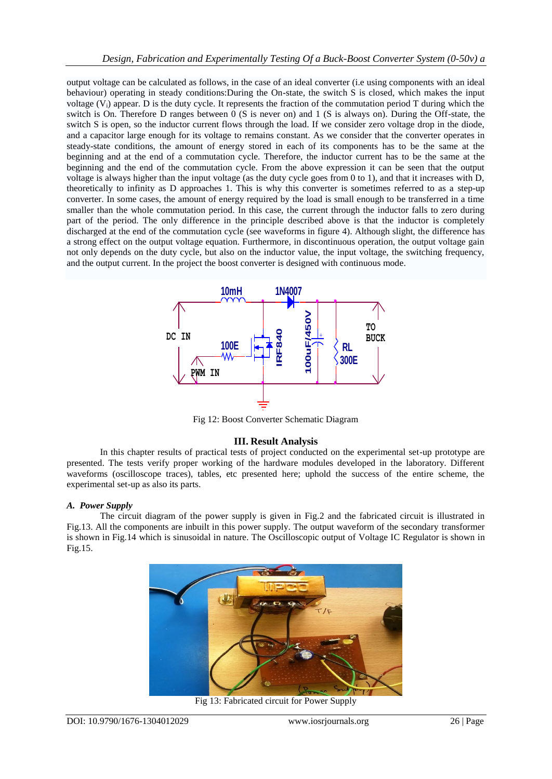output voltage can be calculated as follows, in the case of an ideal converter (i.e using components with an ideal behaviour) operating in steady conditions:During the On-state, the switch S is closed, which makes the input voltage  $(V_i)$  appear. D is the duty cycle. It represents the fraction of the commutation period T during which the switch is On. Therefore D ranges between 0 (S is never on) and 1 (S is always on). During the Off-state, the switch S is open, so the inductor current flows through the load. If we consider zero voltage drop in the diode, and a capacitor large enough for its voltage to remains constant. As we consider that the converter operates in steady-state conditions, the amount of energy stored in each of its components has to be the same at the beginning and at the end of a commutation cycle. Therefore, the inductor current has to be the same at the beginning and the end of the commutation cycle. From the above expression it can be seen that the output voltage is always higher than the input voltage (as the duty cycle goes from 0 to 1), and that it increases with D, theoretically to infinity as D approaches 1. This is why this converter is sometimes referred to as a step-up converter. In some cases, the amount of energy required by the load is small enough to be transferred in a time smaller than the whole commutation period. In this case, the current through the inductor falls to zero during part of the period. The only difference in the principle described above is that the inductor is completely discharged at the end of the commutation cycle (see waveforms in figure 4). Although slight, the difference has a strong effect on the output voltage equation. Furthermore, in discontinuous operation, the output voltage gain not only depends on the duty cycle, but also on the inductor value, the input voltage, the switching frequency, and the output current. In the project the boost converter is designed with continuous mode.



Fig 12: Boost Converter Schematic Diagram

## **III. Result Analysis**

In this chapter results of practical tests of project conducted on the experimental set-up prototype are presented. The tests verify proper working of the hardware modules developed in the laboratory. Different waveforms (oscilloscope traces), tables, etc presented here; uphold the success of the entire scheme, the experimental set-up as also its parts.

## *A. Power Supply*

The circuit diagram of the power supply is given in Fig.2 and the fabricated circuit is illustrated in Fig.13. All the components are inbuilt in this power supply. The output waveform of the secondary transformer is shown in Fig.14 which is sinusoidal in nature. The Oscilloscopic output of Voltage IC Regulator is shown in Fig.15.



Fig 13: Fabricated circuit for Power Supply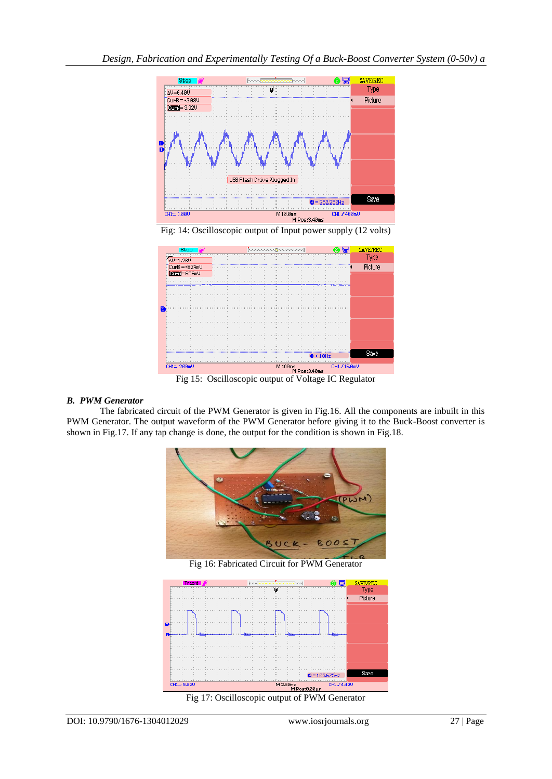



### *B. PWM Generator*

The fabricated circuit of the PWM Generator is given in Fig.16. All the components are inbuilt in this PWM Generator. The output waveform of the PWM Generator before giving it to the Buck-Boost converter is shown in Fig.17. If any tap change is done, the output for the condition is shown in Fig.18.



Fig 16: Fabricated Circuit for PWM Generator



Fig 17: Oscilloscopic output of PWM Generator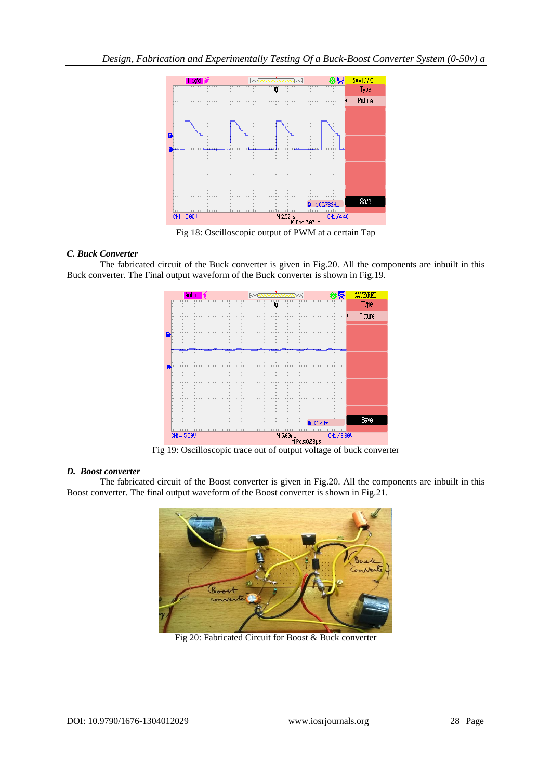

## *C. Buck Converter*

The fabricated circuit of the Buck converter is given in Fig.20. All the components are inbuilt in this Buck converter. The Final output waveform of the Buck converter is shown in Fig.19.



### *D. Boost converter*

The fabricated circuit of the Boost converter is given in Fig.20. All the components are inbuilt in this Boost converter. The final output waveform of the Boost converter is shown in Fig.21.



Fig 20: Fabricated Circuit for Boost & Buck converter